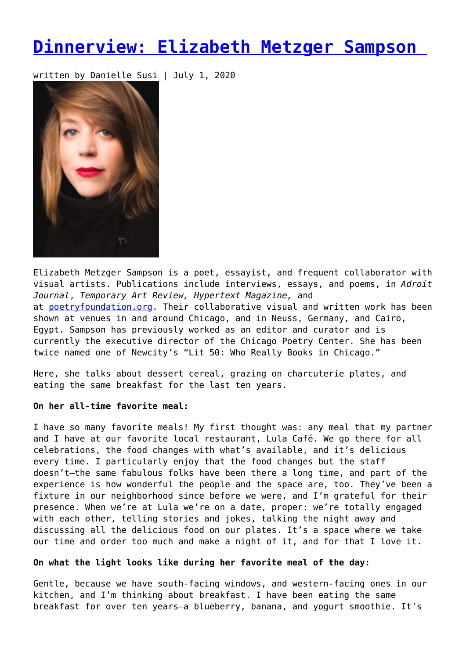# **[Dinnerview: Elizabeth Metzger Sampson](https://entropymag.org/dinnerview-elizabeth-metzger-sampson/)**

written by Danielle Susi | July 1, 2020



Elizabeth Metzger Sampson is a poet, essayist, and frequent collaborator with visual artists. Publications include interviews, essays, and poems, in *Adroit Journal*, *Temporary Art Review, Hypertext Magazine,* and at [poetryfoundation.org.](http://poetryfoundation.org/) Their collaborative visual and written work has been shown at venues in and around Chicago, and in Neuss, Germany, and Cairo, Egypt. Sampson has previously worked as an editor and curator and is currently the executive director of the Chicago Poetry Center. She has been twice named one of Newcity's "Lit 50: Who Really Books in Chicago."

Here, she talks about dessert cereal, grazing on charcuterie plates, and eating the same breakfast for the last ten years.

# **On her all-time favorite meal:**

I have so many favorite meals! My first thought was: any meal that my partner and I have at our favorite local restaurant, Lula Café. We go there for all celebrations, the food changes with what's available, and it's delicious every time. I particularly enjoy that the food changes but the staff doesn't—the same fabulous folks have been there a long time, and part of the experience is how wonderful the people and the space are, too. They've been a fixture in our neighborhood since before we were, and I'm grateful for their presence. When we're at Lula we're on a date, proper: we're totally engaged with each other, telling stories and jokes, talking the night away and discussing all the delicious food on our plates. It's a space where we take our time and order too much and make a night of it, and for that I love it.

## **On what the light looks like during her favorite meal of the day:**

Gentle, because we have south-facing windows, and western-facing ones in our kitchen, and I'm thinking about breakfast. I have been eating the same breakfast for over ten years—a blueberry, banana, and yogurt smoothie. It's